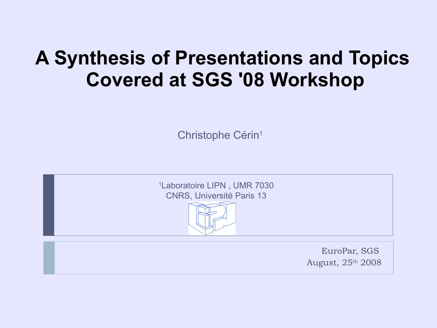## **A Synthesis of Presentations and Topics Covered at SGS '08 Workshop**

Christophe Cérin 1

<sup>1</sup>Laboratoire LIPN , UMR 7030 CNRS, Université Paris 13



EuroPar, SGS August, 25th 2008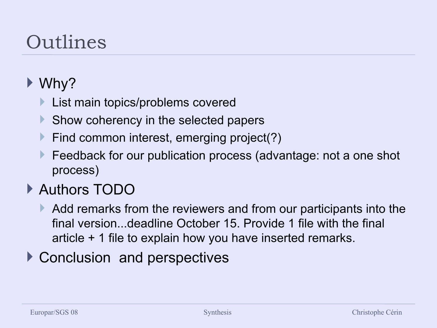# Outlines

### ▶ Why?

- List main topics/problems covered
- Show coherency in the selected papers
- **Find common interest, emerging project(?)**
- Feedback for our publication process (advantage: not a one shot process)

### ▶ Authors TODO

- Add remarks from the reviewers and from our participants into the final version...deadline October 15. Provide 1 file with the final article + 1 file to explain how you have inserted remarks.
- ▶ Conclusion and perspectives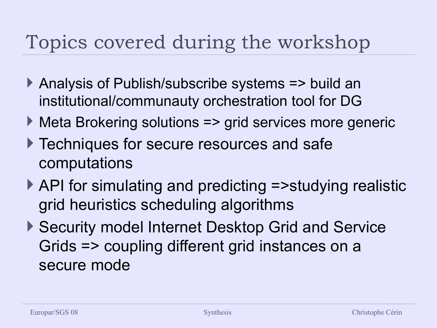# Topics covered during the workshop

- Analysis of Publish/subscribe systems => build an institutional/communauty orchestration tool for DG
- ▶ Meta Brokering solutions => grid services more generic
- ▶ Techniques for secure resources and safe computations
- ▶ API for simulating and predicting =>studying realistic grid heuristics scheduling algorithms
- ▶ Security model Internet Desktop Grid and Service Grids => coupling different grid instances on a secure mode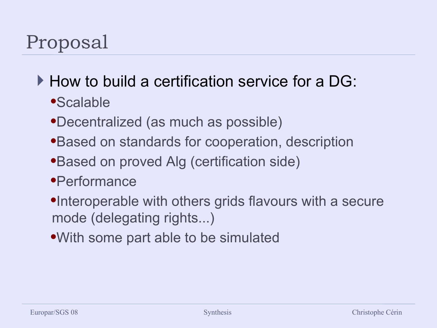# Proposal

How to build a certification service for a DG:

- Scalable
- Decentralized (as much as possible)
- Based on standards for cooperation, description
- Based on proved Alg (certification side)
- Performance
- •Interoperable with others grids flavours with a secure mode (delegating rights...)
- With some part able to be simulated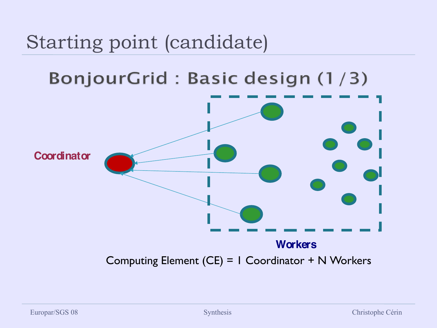# Starting point (candidate)

### BonjourGrid: Basic design (1/3)

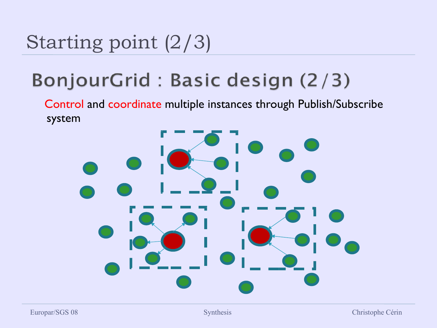# Starting point (2/3)

### BonjourGrid: Basic design (2/3)

Control and coordinate multiple instances through Publish/Subscribe system

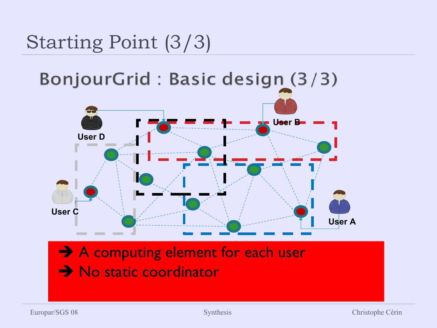# Starting Point (3/3)

BonjourGrid : Basic design (3/3)



### → A computing element for each user → No static coordinator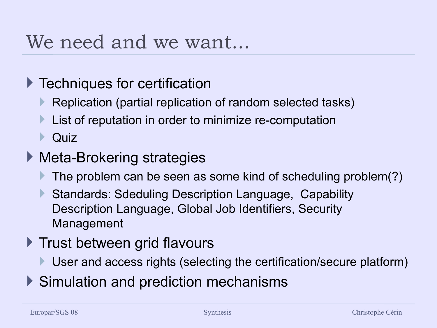### We need and we want...

#### **Techniques for certification**

- Replication (partial replication of random selected tasks)
- List of reputation in order to minimize re-computation

 $\triangleright$  Quiz

#### ▶ Meta-Brokering strategies

- The problem can be seen as some kind of scheduling problem(?)
- Standards: Sdeduling Description Language, Capability Description Language, Global Job Identifiers, Security Management

#### $\blacktriangleright$  Trust between grid flavours

- User and access rights (selecting the certification/secure platform)
- ▶ Simulation and prediction mechanisms